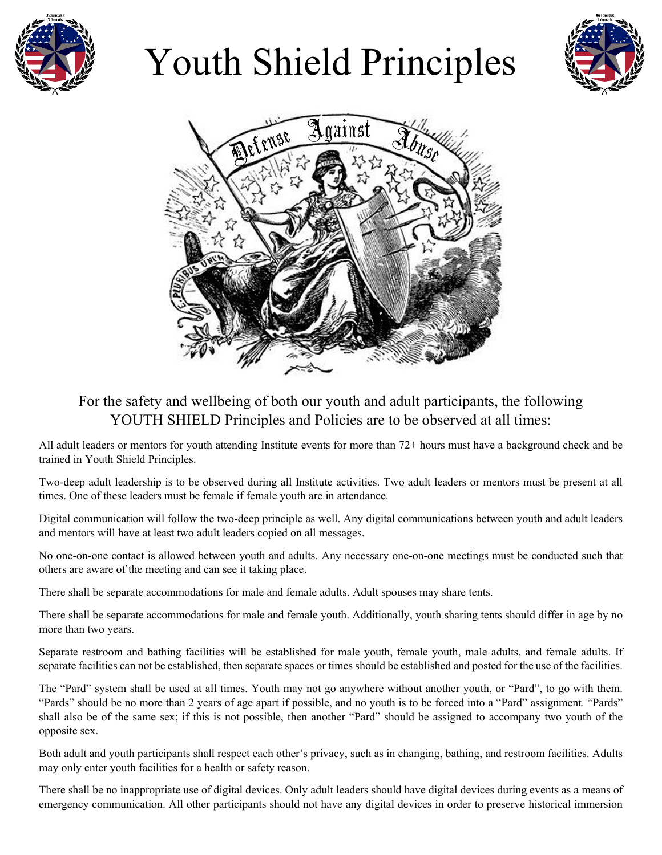

## Youth Shield Principles





## For the safety and wellbeing of both our youth and adult participants, the following YOUTH SHIELD Principles and Policies are to be observed at all times:

All adult leaders or mentors for youth attending Institute events for more than 72+ hours must have a background check and be trained in Youth Shield Principles.

Two-deep adult leadership is to be observed during all Institute activities. Two adult leaders or mentors must be present at all times. One of these leaders must be female if female youth are in attendance.

Digital communication will follow the two-deep principle as well. Any digital communications between youth and adult leaders and mentors will have at least two adult leaders copied on all messages.

No one-on-one contact is allowed between youth and adults. Any necessary one-on-one meetings must be conducted such that others are aware of the meeting and can see it taking place.

There shall be separate accommodations for male and female adults. Adult spouses may share tents.

There shall be separate accommodations for male and female youth. Additionally, youth sharing tents should differ in age by no more than two years.

Separate restroom and bathing facilities will be established for male youth, female youth, male adults, and female adults. If separate facilities can not be established, then separate spaces or times should be established and posted for the use of the facilities.

The "Pard" system shall be used at all times. Youth may not go anywhere without another youth, or "Pard", to go with them. "Pards" should be no more than 2 years of age apart if possible, and no youth is to be forced into a "Pard" assignment. "Pards" shall also be of the same sex; if this is not possible, then another "Pard" should be assigned to accompany two youth of the opposite sex.

Both adult and youth participants shall respect each other's privacy, such as in changing, bathing, and restroom facilities. Adults may only enter youth facilities for a health or safety reason.

There shall be no inappropriate use of digital devices. Only adult leaders should have digital devices during events as a means of emergency communication. All other participants should not have any digital devices in order to preserve historical immersion